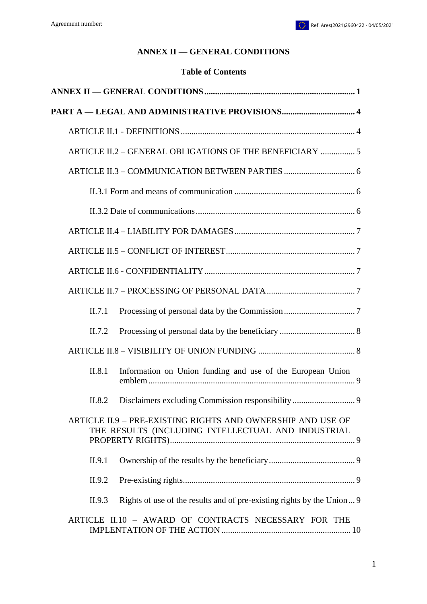# **ANNEX II — GENERAL CONDITIONS**

### **Table of Contents**

<span id="page-0-0"></span>

|        | ARTICLE II.2 - GENERAL OBLIGATIONS OF THE BENEFICIARY  5                                                          |
|--------|-------------------------------------------------------------------------------------------------------------------|
|        |                                                                                                                   |
|        |                                                                                                                   |
|        |                                                                                                                   |
|        |                                                                                                                   |
|        |                                                                                                                   |
|        |                                                                                                                   |
|        |                                                                                                                   |
| II.7.1 |                                                                                                                   |
| II.7.2 |                                                                                                                   |
|        |                                                                                                                   |
| II.8.1 | Information on Union funding and use of the European Union                                                        |
| II.8.2 | Disclaimers excluding Commission responsibility 9                                                                 |
|        | ARTICLE II.9 - PRE-EXISTING RIGHTS AND OWNERSHIP AND USE OF<br>THE RESULTS (INCLUDING INTELLECTUAL AND INDUSTRIAL |
| II.9.1 |                                                                                                                   |
| II.9.2 |                                                                                                                   |
| II.9.3 | Rights of use of the results and of pre-existing rights by the Union 9                                            |
|        | ARTICLE II.10 - AWARD OF CONTRACTS NECESSARY FOR THE                                                              |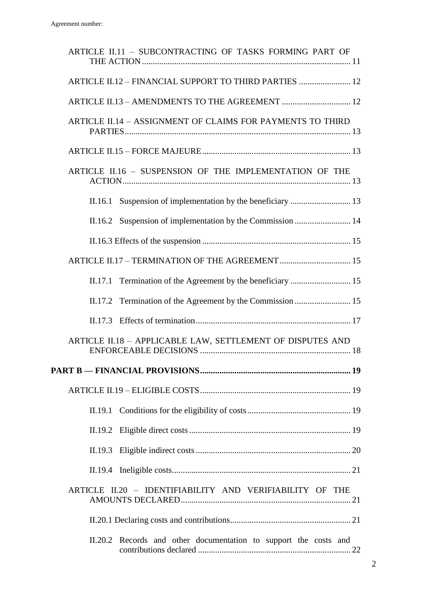|                                                          | ARTICLE II.11 - SUBCONTRACTING OF TASKS FORMING PART OF          |  |
|----------------------------------------------------------|------------------------------------------------------------------|--|
|                                                          | ARTICLE II.12 - FINANCIAL SUPPORT TO THIRD PARTIES  12           |  |
|                                                          | ARTICLE II.13 - AMENDMENTS TO THE AGREEMENT  12                  |  |
|                                                          | ARTICLE II.14 - ASSIGNMENT OF CLAIMS FOR PAYMENTS TO THIRD       |  |
|                                                          |                                                                  |  |
|                                                          | ARTICLE II.16 - SUSPENSION OF THE IMPLEMENTATION OF THE          |  |
|                                                          |                                                                  |  |
|                                                          |                                                                  |  |
|                                                          |                                                                  |  |
|                                                          | ARTICLE II.17 - TERMINATION OF THE AGREEMENT  15                 |  |
| II.17.1                                                  |                                                                  |  |
|                                                          |                                                                  |  |
|                                                          |                                                                  |  |
|                                                          | ARTICLE II.18 - APPLICABLE LAW, SETTLEMENT OF DISPUTES AND       |  |
|                                                          |                                                                  |  |
|                                                          |                                                                  |  |
| II.19.1                                                  |                                                                  |  |
|                                                          |                                                                  |  |
|                                                          |                                                                  |  |
|                                                          |                                                                  |  |
| ARTICLE II.20 - IDENTIFIABILITY AND VERIFIABILITY OF THE |                                                                  |  |
|                                                          |                                                                  |  |
|                                                          | II.20.2 Records and other documentation to support the costs and |  |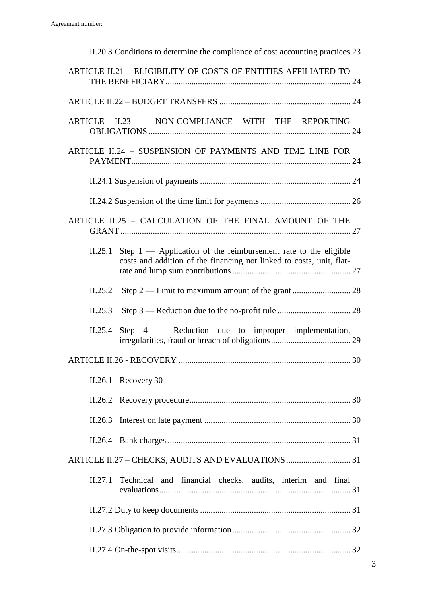| II.20.3 Conditions to determine the compliance of cost accounting practices 23                                                                      |  |  |  |
|-----------------------------------------------------------------------------------------------------------------------------------------------------|--|--|--|
| ARTICLE II.21 - ELIGIBILITY OF COSTS OF ENTITIES AFFILIATED TO                                                                                      |  |  |  |
|                                                                                                                                                     |  |  |  |
| ARTICLE II.23 - NON-COMPLIANCE WITH THE REPORTING                                                                                                   |  |  |  |
| ARTICLE II.24 - SUSPENSION OF PAYMENTS AND TIME LINE FOR                                                                                            |  |  |  |
|                                                                                                                                                     |  |  |  |
|                                                                                                                                                     |  |  |  |
| ARTICLE II.25 - CALCULATION OF THE FINAL AMOUNT OF THE                                                                                              |  |  |  |
| Step $1$ — Application of the reimbursement rate to the eligible<br>II.25.1<br>costs and addition of the financing not linked to costs, unit, flat- |  |  |  |
| II.25.2                                                                                                                                             |  |  |  |
| II.25.3                                                                                                                                             |  |  |  |
| Step 4 — Reduction due to improper implementation,<br>II.25.4                                                                                       |  |  |  |
|                                                                                                                                                     |  |  |  |
| $II.26.1$ Recovery 30                                                                                                                               |  |  |  |
|                                                                                                                                                     |  |  |  |
| II.26.3                                                                                                                                             |  |  |  |
|                                                                                                                                                     |  |  |  |
|                                                                                                                                                     |  |  |  |
| Technical and financial checks, audits, interim and final<br>II.27.1                                                                                |  |  |  |
|                                                                                                                                                     |  |  |  |
|                                                                                                                                                     |  |  |  |
|                                                                                                                                                     |  |  |  |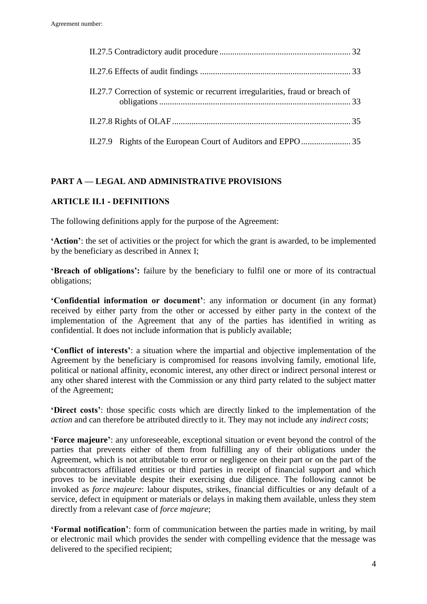| II.27.7 Correction of systemic or recurrent irregularities, fraud or breach of |
|--------------------------------------------------------------------------------|
|                                                                                |
|                                                                                |

## <span id="page-3-0"></span>**PART A — LEGAL AND ADMINISTRATIVE PROVISIONS**

## <span id="page-3-1"></span>**ARTICLE II.1 - DEFINITIONS**

The following definitions apply for the purpose of the Agreement:

**'Action'**: the set of activities or the project for which the grant is awarded, to be implemented by the beneficiary as described in Annex I;

**'Breach of obligations':** failure by the beneficiary to fulfil one or more of its contractual obligations;

**'Confidential information or document'**: any information or document (in any format) received by either party from the other or accessed by either party in the context of the implementation of the Agreement that any of the parties has identified in writing as confidential. It does not include information that is publicly available;

**'Conflict of interests'**: a situation where the impartial and objective implementation of the Agreement by the beneficiary is compromised for reasons involving family, emotional life, political or national affinity, economic interest, any other direct or indirect personal interest or any other shared interest with the Commission or any third party related to the subject matter of the Agreement;

**'Direct costs'**: those specific costs which are directly linked to the implementation of the *action* and can therefore be attributed directly to it. They may not include any *indirect costs*;

**'Force majeure'**: any unforeseeable, exceptional situation or event beyond the control of the parties that prevents either of them from fulfilling any of their obligations under the Agreement, which is not attributable to error or negligence on their part or on the part of the subcontractors affiliated entities or third parties in receipt of financial support and which proves to be inevitable despite their exercising due diligence. The following cannot be invoked as *force majeure*: labour disputes, strikes, financial difficulties or any default of a service, defect in equipment or materials or delays in making them available, unless they stem directly from a relevant case of *force majeure*;

**'Formal notification'**: form of communication between the parties made in writing, by mail or electronic mail which provides the sender with compelling evidence that the message was delivered to the specified recipient;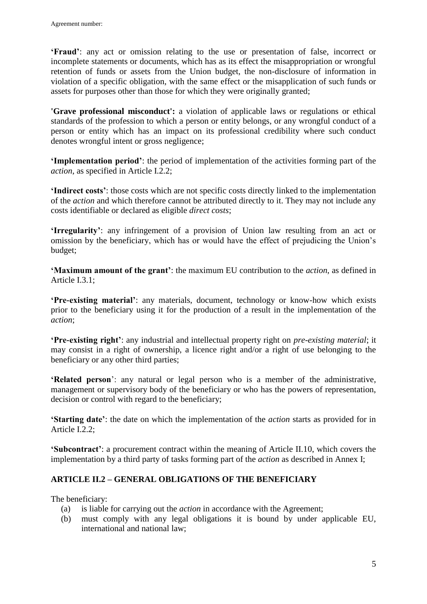**'Fraud'**: any act or omission relating to the use or presentation of false, incorrect or incomplete statements or documents, which has as its effect the misappropriation or wrongful retention of funds or assets from the Union budget, the non-disclosure of information in violation of a specific obligation, with the same effect or the misapplication of such funds or assets for purposes other than those for which they were originally granted;

**'Grave professional misconduct':** a violation of applicable laws or regulations or ethical standards of the profession to which a person or entity belongs, or any wrongful conduct of a person or entity which has an impact on its professional credibility where such conduct denotes wrongful intent or gross negligence;

**'Implementation period'**: the period of implementation of the activities forming part of the *action*, as specified in Article I.2.2;

**'Indirect costs'**: those costs which are not specific costs directly linked to the implementation of the *action* and which therefore cannot be attributed directly to it. They may not include any costs identifiable or declared as eligible *direct costs*;

**'Irregularity'**: any infringement of a provision of Union law resulting from an act or omission by the beneficiary, which has or would have the effect of prejudicing the Union's budget;

**'Maximum amount of the grant'**: the maximum EU contribution to the *action*, as defined in Article I.3.1;

**'Pre-existing material'**: any materials, document, technology or know-how which exists prior to the beneficiary using it for the production of a result in the implementation of the *action*;

**'Pre-existing right'**: any industrial and intellectual property right on *pre-existing material*; it may consist in a right of ownership, a licence right and/or a right of use belonging to the beneficiary or any other third parties;

**'Related person**': any natural or legal person who is a member of the administrative, management or supervisory body of the beneficiary or who has the powers of representation, decision or control with regard to the beneficiary;

**'Starting date'**: the date on which the implementation of the *action* starts as provided for in Article I.2.2;

**'Subcontract'**: a procurement contract within the meaning of Article II.10, which covers the implementation by a third party of tasks forming part of the *action* as described in Annex I;

# <span id="page-4-0"></span>**ARTICLE II.2 – GENERAL OBLIGATIONS OF THE BENEFICIARY**

The beneficiary:

- (a) is liable for carrying out the *action* in accordance with the Agreement;
- (b) must comply with any legal obligations it is bound by under applicable EU, international and national law;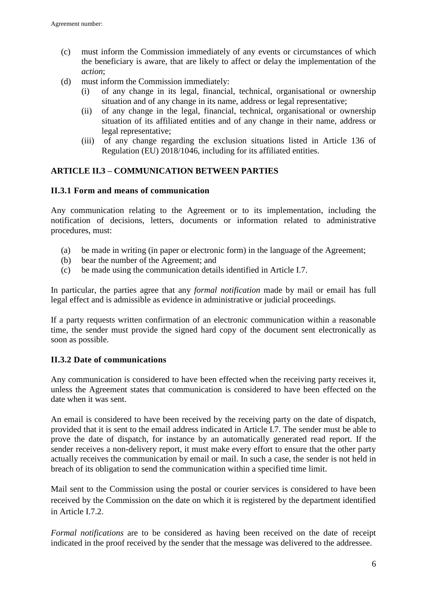- (c) must inform the Commission immediately of any events or circumstances of which the beneficiary is aware, that are likely to affect or delay the implementation of the *action*;
- (d) must inform the Commission immediately:
	- (i) of any change in its legal, financial, technical, organisational or ownership situation and of any change in its name, address or legal representative;
	- (ii) of any change in the legal, financial, technical, organisational or ownership situation of its affiliated entities and of any change in their name, address or legal representative;
	- (iii) of any change regarding the exclusion situations listed in Article 136 of Regulation (EU) 2018/1046, including for its affiliated entities.

## <span id="page-5-0"></span>**ARTICLE II.3 – COMMUNICATION BETWEEN PARTIES**

### <span id="page-5-1"></span>**II.3.1 Form and means of communication**

Any communication relating to the Agreement or to its implementation, including the notification of decisions, letters, documents or information related to administrative procedures, must:

- (a) be made in writing (in paper or electronic form) in the language of the Agreement;
- (b) bear the number of the Agreement; and
- (c) be made using the communication details identified in Article I.7.

In particular, the parties agree that any *formal notification* made by mail or email has full legal effect and is admissible as evidence in administrative or judicial proceedings.

If a party requests written confirmation of an electronic communication within a reasonable time, the sender must provide the signed hard copy of the document sent electronically as soon as possible.

## <span id="page-5-2"></span>**II.3.2 Date of communications**

Any communication is considered to have been effected when the receiving party receives it, unless the Agreement states that communication is considered to have been effected on the date when it was sent.

An email is considered to have been received by the receiving party on the date of dispatch, provided that it is sent to the email address indicated in Article I.7. The sender must be able to prove the date of dispatch, for instance by an automatically generated read report. If the sender receives a non-delivery report, it must make every effort to ensure that the other party actually receives the communication by email or mail. In such a case, the sender is not held in breach of its obligation to send the communication within a specified time limit.

Mail sent to the Commission using the postal or courier services is considered to have been received by the Commission on the date on which it is registered by the department identified in Article I.7.2.

*Formal notifications* are to be considered as having been received on the date of receipt indicated in the proof received by the sender that the message was delivered to the addressee.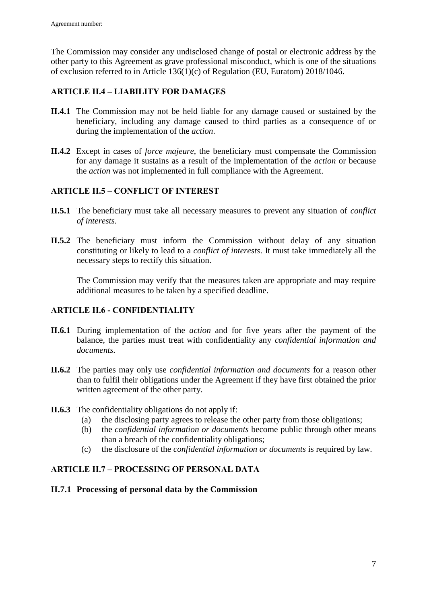The Commission may consider any undisclosed change of postal or electronic address by the other party to this Agreement as grave professional misconduct, which is one of the situations of exclusion referred to in Article 136(1)(c) of Regulation (EU, Euratom) 2018/1046.

## <span id="page-6-0"></span>**ARTICLE II.4 – LIABILITY FOR DAMAGES**

- **II.4.1** The Commission may not be held liable for any damage caused or sustained by the beneficiary, including any damage caused to third parties as a consequence of or during the implementation of the *action*.
- **II.4.2** Except in cases of *force majeure*, the beneficiary must compensate the Commission for any damage it sustains as a result of the implementation of the *action* or because the *action* was not implemented in full compliance with the Agreement.

## <span id="page-6-1"></span>**ARTICLE II.5 – CONFLICT OF INTEREST**

- **II.5.1** The beneficiary must take all necessary measures to prevent any situation of *conflict of interests.*
- **II.5.2** The beneficiary must inform the Commission without delay of any situation constituting or likely to lead to a *conflict of interests*. It must take immediately all the necessary steps to rectify this situation.

The Commission may verify that the measures taken are appropriate and may require additional measures to be taken by a specified deadline.

## <span id="page-6-2"></span>**ARTICLE II.6 - CONFIDENTIALITY**

- **II.6.1** During implementation of the *action* and for five years after the payment of the balance, the parties must treat with confidentiality any *confidential information and documents.*
- **II.6.2** The parties may only use *confidential information and documents* for a reason other than to fulfil their obligations under the Agreement if they have first obtained the prior written agreement of the other party.
- **II.6.3** The confidentiality obligations do not apply if:
	- (a) the disclosing party agrees to release the other party from those obligations;
	- (b) the *confidential information or documents* become public through other means than a breach of the confidentiality obligations;
	- (c) the disclosure of the *confidential information or documents* is required by law.

## <span id="page-6-3"></span>**ARTICLE II.7 – PROCESSING OF PERSONAL DATA**

## <span id="page-6-4"></span>**II.7.1 Processing of personal data by the Commission**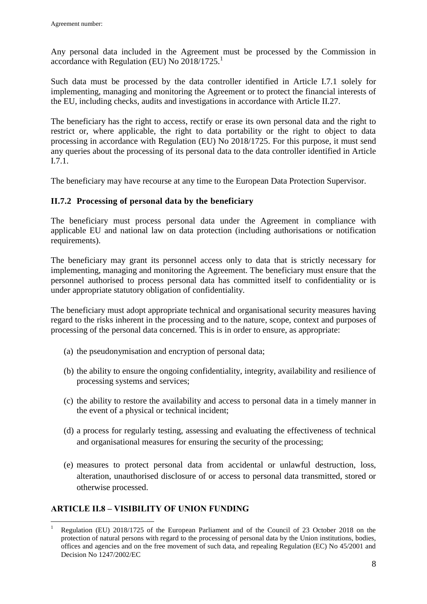Any personal data included in the Agreement must be processed by the Commission in accordance with Regulation (EU) No 2018/1725.<sup>1</sup>

Such data must be processed by the data controller identified in Article I.7.1 solely for implementing, managing and monitoring the Agreement or to protect the financial interests of the EU, including checks, audits and investigations in accordance with Article II.27.

The beneficiary has the right to access, rectify or erase its own personal data and the right to restrict or, where applicable, the right to data portability or the right to object to data processing in accordance with Regulation (EU) No 2018/1725. For this purpose, it must send any queries about the processing of its personal data to the data controller identified in Article I.7.1.

The beneficiary may have recourse at any time to the European Data Protection Supervisor.

## <span id="page-7-0"></span>**II.7.2 Processing of personal data by the beneficiary**

The beneficiary must process personal data under the Agreement in compliance with applicable EU and national law on data protection (including authorisations or notification requirements).

The beneficiary may grant its personnel access only to data that is strictly necessary for implementing, managing and monitoring the Agreement. The beneficiary must ensure that the personnel authorised to process personal data has committed itself to confidentiality or is under appropriate statutory obligation of confidentiality.

The beneficiary must adopt appropriate technical and organisational security measures having regard to the risks inherent in the processing and to the nature, scope, context and purposes of processing of the personal data concerned. This is in order to ensure, as appropriate:

- (a) the pseudonymisation and encryption of personal data;
- (b) the ability to ensure the ongoing confidentiality, integrity, availability and resilience of processing systems and services;
- (c) the ability to restore the availability and access to personal data in a timely manner in the event of a physical or technical incident;
- (d) a process for regularly testing, assessing and evaluating the effectiveness of technical and organisational measures for ensuring the security of the processing;
- (e) measures to protect personal data from accidental or unlawful destruction, loss, alteration, unauthorised disclosure of or access to personal data transmitted, stored or otherwise processed.

## <span id="page-7-1"></span>**ARTICLE II.8 – VISIBILITY OF UNION FUNDING**

 $\overline{a}$ <sup>1</sup> Regulation (EU) 2018/1725 of the European Parliament and of the Council of 23 October 2018 on the protection of natural persons with regard to the processing of personal data by the Union institutions, bodies, offices and agencies and on the free movement of such data, and repealing Regulation (EC) No 45/2001 and Decision No 1247/2002/EC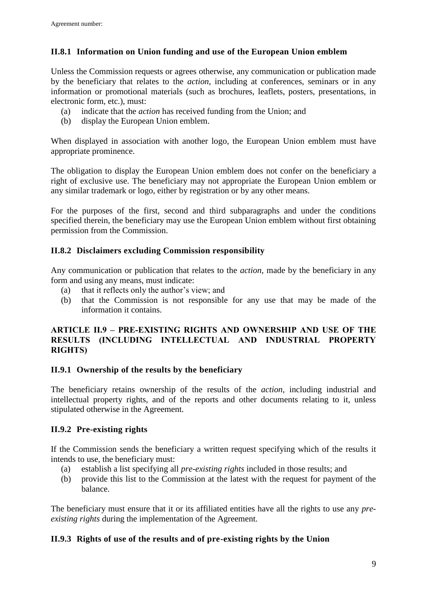# <span id="page-8-0"></span>**II.8.1 Information on Union funding and use of the European Union emblem**

Unless the Commission requests or agrees otherwise, any communication or publication made by the beneficiary that relates to the *action*, including at conferences, seminars or in any information or promotional materials (such as brochures, leaflets, posters, presentations, in electronic form, etc.), must:

- (a) indicate that the *action* has received funding from the Union; and
- (b) display the European Union emblem.

When displayed in association with another logo, the European Union emblem must have appropriate prominence.

The obligation to display the European Union emblem does not confer on the beneficiary a right of exclusive use. The beneficiary may not appropriate the European Union emblem or any similar trademark or logo, either by registration or by any other means.

For the purposes of the first, second and third subparagraphs and under the conditions specified therein, the beneficiary may use the European Union emblem without first obtaining permission from the Commission.

## <span id="page-8-1"></span>**II.8.2 Disclaimers excluding Commission responsibility**

Any communication or publication that relates to the *action*, made by the beneficiary in any form and using any means, must indicate:

- (a) that it reflects only the author's view; and
- (b) that the Commission is not responsible for any use that may be made of the information it contains.

### <span id="page-8-2"></span>**ARTICLE II.9 – PRE-EXISTING RIGHTS AND OWNERSHIP AND USE OF THE RESULTS (INCLUDING INTELLECTUAL AND INDUSTRIAL PROPERTY RIGHTS)**

## <span id="page-8-3"></span>**II.9.1 Ownership of the results by the beneficiary**

The beneficiary retains ownership of the results of the *action*, including industrial and intellectual property rights, and of the reports and other documents relating to it, unless stipulated otherwise in the Agreement.

# <span id="page-8-4"></span>**II.9.2 Pre-existing rights**

If the Commission sends the beneficiary a written request specifying which of the results it intends to use, the beneficiary must:

- (a) establish a list specifying all *pre-existing rights* included in those results; and
- (b) provide this list to the Commission at the latest with the request for payment of the balance.

The beneficiary must ensure that it or its affiliated entities have all the rights to use any *preexisting rights* during the implementation of the Agreement.

# <span id="page-8-5"></span>**II.9.3 Rights of use of the results and of pre-existing rights by the Union**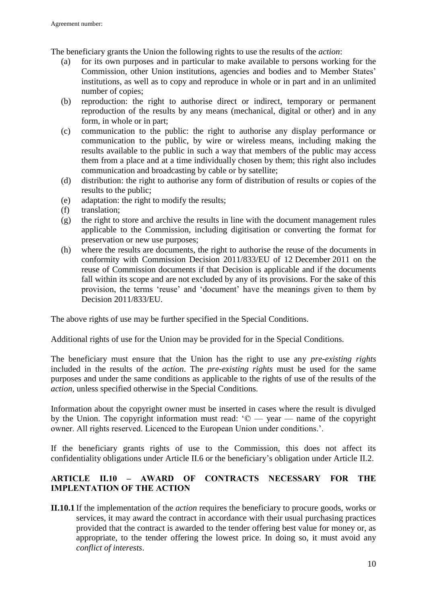The beneficiary grants the Union the following rights to use the results of the *action*:

- (a) for its own purposes and in particular to make available to persons working for the Commission, other Union institutions, agencies and bodies and to Member States' institutions, as well as to copy and reproduce in whole or in part and in an unlimited number of copies;
- (b) reproduction: the right to authorise direct or indirect, temporary or permanent reproduction of the results by any means (mechanical, digital or other) and in any form, in whole or in part;
- (c) communication to the public: the right to authorise any display performance or communication to the public, by wire or wireless means, including making the results available to the public in such a way that members of the public may access them from a place and at a time individually chosen by them; this right also includes communication and broadcasting by cable or by satellite;
- (d) distribution: the right to authorise any form of distribution of results or copies of the results to the public;
- (e) adaptation: the right to modify the results;
- (f) translation;
- (g) the right to store and archive the results in line with the document management rules applicable to the Commission, including digitisation or converting the format for preservation or new use purposes;
- (h) where the results are documents, the right to authorise the reuse of the documents in conformity with Commission Decision 2011/833/EU of 12 December 2011 on the reuse of Commission documents if that Decision is applicable and if the documents fall within its scope and are not excluded by any of its provisions. For the sake of this provision, the terms 'reuse' and 'document' have the meanings given to them by Decision 2011/833/EU.

The above rights of use may be further specified in the Special Conditions.

Additional rights of use for the Union may be provided for in the Special Conditions.

The beneficiary must ensure that the Union has the right to use any *pre-existing rights* included in the results of the *action*. The *pre-existing rights* must be used for the same purposes and under the same conditions as applicable to the rights of use of the results of the *action,* unless specified otherwise in the Special Conditions.

Information about the copyright owner must be inserted in cases where the result is divulged by the Union. The copyright information must read:  $\degree$   $\degree$   $\degree$   $\degree$   $\degree$   $\degree$   $\degree$  annes of the copyright owner. All rights reserved. Licenced to the European Union under conditions.'.

If the beneficiary grants rights of use to the Commission, this does not affect its confidentiality obligations under Article II.6 or the beneficiary's obligation under Article II.2.

## <span id="page-9-0"></span>**ARTICLE II.10 – AWARD OF CONTRACTS NECESSARY FOR THE IMPLENTATION OF THE ACTION**

**II.10.1** If the implementation of the *action* requires the beneficiary to procure goods, works or services, it may award the contract in accordance with their usual purchasing practices provided that the contract is awarded to the tender offering best value for money or, as appropriate, to the tender offering the lowest price. In doing so, it must avoid any *conflict of interests*.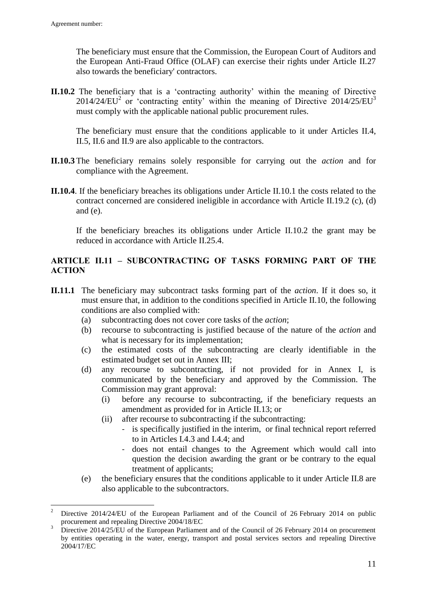$\overline{a}$ 

The beneficiary must ensure that the Commission, the European Court of Auditors and the European Anti-Fraud Office (OLAF) can exercise their rights under Article II.27 also towards the beneficiary' contractors.

**II.10.2** The beneficiary that is a 'contracting authority' within the meaning of Directive 2014/24/EU<sup>2</sup> or 'contracting entity' within the meaning of Directive 2014/25/EU<sup>3</sup> must comply with the applicable national public procurement rules.

The beneficiary must ensure that the conditions applicable to it under Articles II.4, II.5, II.6 and II.9 are also applicable to the contractors.

- **II.10.3** The beneficiary remains solely responsible for carrying out the *action* and for compliance with the Agreement.
- **II.10.4**. If the beneficiary breaches its obligations under Article II.10.1 the costs related to the contract concerned are considered ineligible in accordance with Article II.19.2 (c), (d) and (e).

If the beneficiary breaches its obligations under Article II.10.2 the grant may be reduced in accordance with Article II.25.4.

## <span id="page-10-0"></span>**ARTICLE II.11 – SUBCONTRACTING OF TASKS FORMING PART OF THE ACTION**

- **II.11.1** The beneficiary may subcontract tasks forming part of the *action*. If it does so, it must ensure that, in addition to the conditions specified in Article II.10, the following conditions are also complied with:
	- (a) subcontracting does not cover core tasks of the *action*;
	- (b) recourse to subcontracting is justified because of the nature of the *action* and what is necessary for its implementation;
	- (c) the estimated costs of the subcontracting are clearly identifiable in the estimated budget set out in Annex III;
	- (d) any recourse to subcontracting, if not provided for in Annex I, is communicated by the beneficiary and approved by the Commission. The Commission may grant approval:
		- (i) before any recourse to subcontracting, if the beneficiary requests an amendment as provided for in Article II.13; or
		- (ii) after recourse to subcontracting if the subcontracting:
			- is specifically justified in the interim, or final technical report referred to in Articles I.4.3 and I.4.4; and
			- does not entail changes to the Agreement which would call into question the decision awarding the grant or be contrary to the equal treatment of applicants;
	- (e) the beneficiary ensures that the conditions applicable to it under Article II.8 are also applicable to the subcontractors.

<sup>2</sup> Directive 2014/24/EU of the European Parliament and of the Council of 26 February 2014 on public procurement and repealing Directive 2004/18/EC

<sup>3</sup> Directive 2014/25/EU of the European Parliament and of the Council of 26 February 2014 on procurement by entities operating in the water, energy, transport and postal services sectors and repealing Directive 2004/17/EC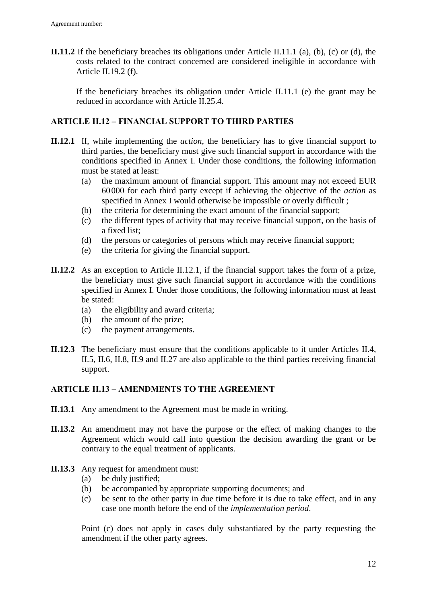**II.11.2** If the beneficiary breaches its obligations under Article II.11.1 (a), (b), (c) or (d), the costs related to the contract concerned are considered ineligible in accordance with Article II.19.2 (f).

If the beneficiary breaches its obligation under Article II.11.1 (e) the grant may be reduced in accordance with Article II.25.4.

## <span id="page-11-0"></span>**ARTICLE II.12 – FINANCIAL SUPPORT TO THIRD PARTIES**

- **II.12.1** If, while implementing the *action*, the beneficiary has to give financial support to third parties, the beneficiary must give such financial support in accordance with the conditions specified in Annex I. Under those conditions, the following information must be stated at least:
	- (a) the maximum amount of financial support. This amount may not exceed EUR 60000 for each third party except if achieving the objective of the *action* as specified in Annex I would otherwise be impossible or overly difficult ;
	- (b) the criteria for determining the exact amount of the financial support;
	- (c) the different types of activity that may receive financial support, on the basis of a fixed list;
	- (d) the persons or categories of persons which may receive financial support;
	- (e) the criteria for giving the financial support.
- **II.12.2** As an exception to Article II.12.1, if the financial support takes the form of a prize, the beneficiary must give such financial support in accordance with the conditions specified in Annex I. Under those conditions, the following information must at least be stated:
	- (a) the eligibility and award criteria;
	- (b) the amount of the prize;
	- (c) the payment arrangements.
- **II.12.3** The beneficiary must ensure that the conditions applicable to it under Articles II.4, II.5, II.6, II.8, II.9 and II.27 are also applicable to the third parties receiving financial support.

## <span id="page-11-1"></span>**ARTICLE II.13 – AMENDMENTS TO THE AGREEMENT**

- **II.13.1** Any amendment to the Agreement must be made in writing.
- **II.13.2** An amendment may not have the purpose or the effect of making changes to the Agreement which would call into question the decision awarding the grant or be contrary to the equal treatment of applicants.
- **II.13.3** Any request for amendment must:
	- (a) be duly justified;
	- (b) be accompanied by appropriate supporting documents; and
	- (c) be sent to the other party in due time before it is due to take effect, and in any case one month before the end of the *implementation period*.

Point (c) does not apply in cases duly substantiated by the party requesting the amendment if the other party agrees.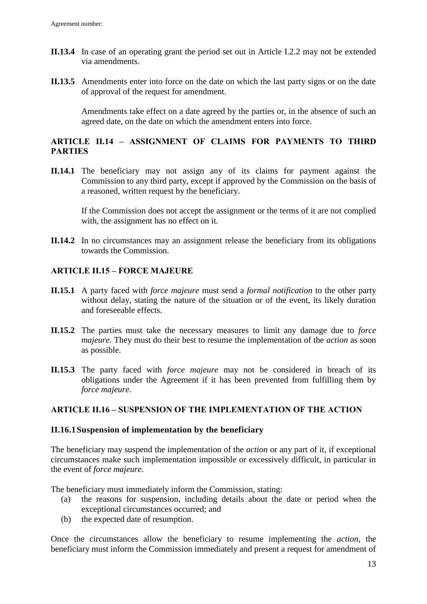- **II.13.4** In case of an operating grant the period set out in Article I.2.2 may not be extended via amendments.
- **II.13.5** Amendments enter into force on the date on which the last party signs or on the date of approval of the request for amendment.

Amendments take effect on a date agreed by the parties or, in the absence of such an agreed date, on the date on which the amendment enters into force.

## <span id="page-12-0"></span>**ARTICLE II.14 – ASSIGNMENT OF CLAIMS FOR PAYMENTS TO THIRD PARTIES**

**II.14.1** The beneficiary may not assign any of its claims for payment against the Commission to any third party, except if approved by the Commission on the basis of a reasoned, written request by the beneficiary.

If the Commission does not accept the assignment or the terms of it are not complied with, the assignment has no effect on it.

**II.14.2** In no circumstances may an assignment release the beneficiary from its obligations towards the Commission.

## <span id="page-12-1"></span>**ARTICLE II.15 – FORCE MAJEURE**

- **II.15.1** A party faced with *force majeure* must send a *formal notification* to the other party without delay, stating the nature of the situation or of the event, its likely duration and foreseeable effects.
- **II.15.2** The parties must take the necessary measures to limit any damage due to *force majeure*. They must do their best to resume the implementation of the *action* as soon as possible.
- **II.15.3** The party faced with *force majeure* may not be considered in breach of its obligations under the Agreement if it has been prevented from fulfilling them by *force majeure*.

## <span id="page-12-2"></span>**ARTICLE II.16 – SUSPENSION OF THE IMPLEMENTATION OF THE ACTION**

#### <span id="page-12-3"></span>**II.16.1Suspension of implementation by the beneficiary**

The beneficiary may suspend the implementation of the *action* or any part of it, if exceptional circumstances make such implementation impossible or excessively difficult, in particular in the event of *force majeure*.

The beneficiary must immediately inform the Commission, stating:

- (a) the reasons for suspension, including details about the date or period when the exceptional circumstances occurred; and
- (b) the expected date of resumption.

Once the circumstances allow the beneficiary to resume implementing the *action*, the beneficiary must inform the Commission immediately and present a request for amendment of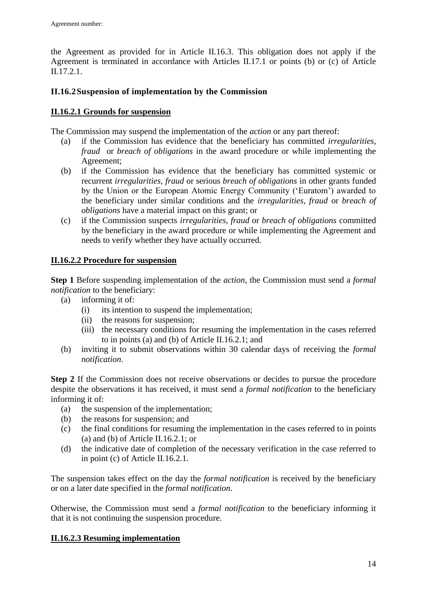the Agreement as provided for in Article II.16.3. This obligation does not apply if the Agreement is terminated in accordance with Articles II.17.1 or points (b) or (c) of Article II.17.2.1.

## <span id="page-13-0"></span>**II.16.2Suspension of implementation by the Commission**

## **II.16.2.1 Grounds for suspension**

The Commission may suspend the implementation of the *action* or any part thereof:

- (a) if the Commission has evidence that the beneficiary has committed *irregularities*, *fraud* or *breach of obligations* in the award procedure or while implementing the Agreement;
- (b) if the Commission has evidence that the beneficiary has committed systemic or recurrent *irregularities, fraud* or serious *breach of obligations* in other grants funded by the Union or the European Atomic Energy Community ('Euratom') awarded to the beneficiary under similar conditions and the *irregularities, fraud* or *breach of obligations* have a material impact on this grant; or
- (c) if the Commission suspects *irregularities, fraud* or *breach of obligations* committed by the beneficiary in the award procedure or while implementing the Agreement and needs to verify whether they have actually occurred.

## **II.16.2.2 Procedure for suspension**

**Step 1** Before suspending implementation of the *action*, the Commission must send a *formal notification* to the beneficiary:

- (a) informing it of:
	- (i) its intention to suspend the implementation;
	- (ii) the reasons for suspension;
	- (iii) the necessary conditions for resuming the implementation in the cases referred to in points (a) and (b) of Article II.16.2.1; and
- (b) inviting it to submit observations within 30 calendar days of receiving the *formal notification*.

**Step 2** If the Commission does not receive observations or decides to pursue the procedure despite the observations it has received, it must send a *formal notification* to the beneficiary informing it of:

- (a) the suspension of the implementation;
- (b) the reasons for suspension; and
- (c) the final conditions for resuming the implementation in the cases referred to in points (a) and (b) of Article II.16.2.1; or
- (d) the indicative date of completion of the necessary verification in the case referred to in point (c) of Article II.16.2.1.

The suspension takes effect on the day the *formal notification* is received by the beneficiary or on a later date specified in the *formal notification*.

Otherwise, the Commission must send a *formal notification* to the beneficiary informing it that it is not continuing the suspension procedure.

# **II.16.2.3 Resuming implementation**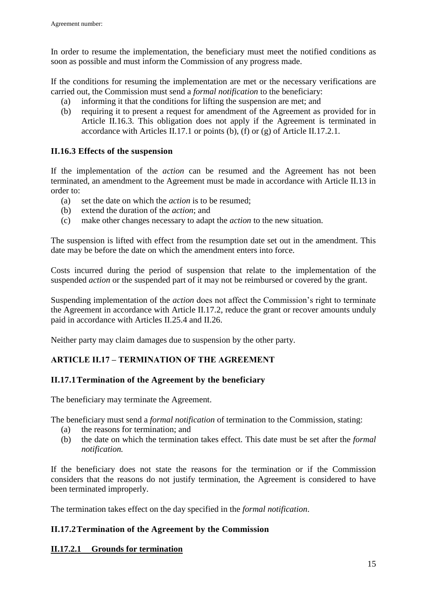In order to resume the implementation, the beneficiary must meet the notified conditions as soon as possible and must inform the Commission of any progress made.

If the conditions for resuming the implementation are met or the necessary verifications are carried out, the Commission must send a *formal notification* to the beneficiary:

- (a) informing it that the conditions for lifting the suspension are met; and
- (b) requiring it to present a request for amendment of the Agreement as provided for in Article II.16.3. This obligation does not apply if the Agreement is terminated in accordance with Articles II.17.1 or points (b), (f) or (g) of Article II.17.2.1.

### <span id="page-14-0"></span>**II.16.3 Effects of the suspension**

If the implementation of the *action* can be resumed and the Agreement has not been terminated, an amendment to the Agreement must be made in accordance with Article II.13 in order to:

- (a) set the date on which the *action* is to be resumed;
- (b) extend the duration of the *action*; and
- (c) make other changes necessary to adapt the *action* to the new situation.

The suspension is lifted with effect from the resumption date set out in the amendment. This date may be before the date on which the amendment enters into force.

Costs incurred during the period of suspension that relate to the implementation of the suspended *action* or the suspended part of it may not be reimbursed or covered by the grant.

Suspending implementation of the *action* does not affect the Commission's right to terminate the Agreement in accordance with Article II.17.2, reduce the grant or recover amounts unduly paid in accordance with Articles II.25.4 and II.26.

Neither party may claim damages due to suspension by the other party.

## <span id="page-14-1"></span>**ARTICLE II.17 – TERMINATION OF THE AGREEMENT**

## <span id="page-14-2"></span>**II.17.1Termination of the Agreement by the beneficiary**

The beneficiary may terminate the Agreement.

The beneficiary must send a *formal notification* of termination to the Commission, stating:

- (a) the reasons for termination; and
- (b) the date on which the termination takes effect. This date must be set after the *formal notification.*

If the beneficiary does not state the reasons for the termination or if the Commission considers that the reasons do not justify termination, the Agreement is considered to have been terminated improperly.

The termination takes effect on the day specified in the *formal notification*.

#### <span id="page-14-3"></span>**II.17.2Termination of the Agreement by the Commission**

## **II.17.2.1 Grounds for termination**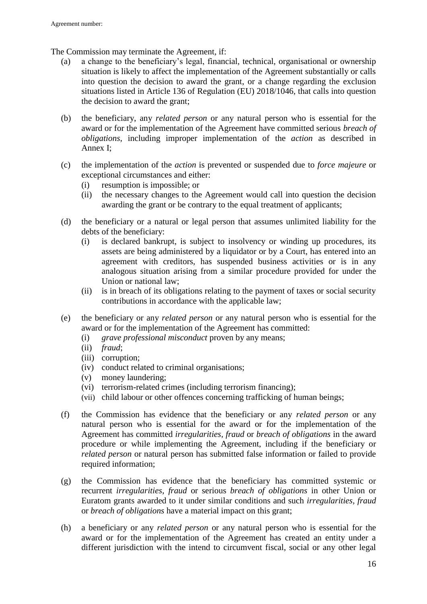The Commission may terminate the Agreement, if:

- (a) a change to the beneficiary's legal, financial, technical, organisational or ownership situation is likely to affect the implementation of the Agreement substantially or calls into question the decision to award the grant, or a change regarding the exclusion situations listed in Article 136 of Regulation (EU) 2018/1046, that calls into question the decision to award the grant;
- (b) the beneficiary, any *related person* or any natural person who is essential for the award or for the implementation of the Agreement have committed serious *breach of obligations*, including improper implementation of the *action* as described in Annex I;
- (c) the implementation of the *action* is prevented or suspended due to *force majeure* or exceptional circumstances and either:
	- (i) resumption is impossible; or
	- (ii) the necessary changes to the Agreement would call into question the decision awarding the grant or be contrary to the equal treatment of applicants;
- (d) the beneficiary or a natural or legal person that assumes unlimited liability for the debts of the beneficiary:
	- (i) is declared bankrupt, is subject to insolvency or winding up procedures, its assets are being administered by a liquidator or by a Court, has entered into an agreement with creditors, has suspended business activities or is in any analogous situation arising from a similar procedure provided for under the Union or national law;
	- (ii) is in breach of its obligations relating to the payment of taxes or social security contributions in accordance with the applicable law;
- (e) the beneficiary or any *related person* or any natural person who is essential for the award or for the implementation of the Agreement has committed:
	- (i) *grave professional misconduct* proven by any means;
	- (ii) *fraud*;
	- (iii) corruption;
	- (iv) conduct related to criminal organisations;
	- (v) money laundering;
	- (vi) terrorism-related crimes (including terrorism financing);
	- (vii) child labour or other offences concerning trafficking of human beings;
- (f) the Commission has evidence that the beneficiary or any *related person* or any natural person who is essential for the award or for the implementation of the Agreement has committed *irregularities, fraud* or *breach of obligations* in the award procedure or while implementing the Agreement, including if the beneficiary or *related person* or natural person has submitted false information or failed to provide required information;
- (g) the Commission has evidence that the beneficiary has committed systemic or recurrent *irregularities*, *fraud* or serious *breach of obligations* in other Union or Euratom grants awarded to it under similar conditions and such *irregularities, fraud* or *breach of obligations* have a material impact on this grant;
- (h) a beneficiary or any *related person* or any natural person who is essential for the award or for the implementation of the Agreement has created an entity under a different jurisdiction with the intend to circumvent fiscal, social or any other legal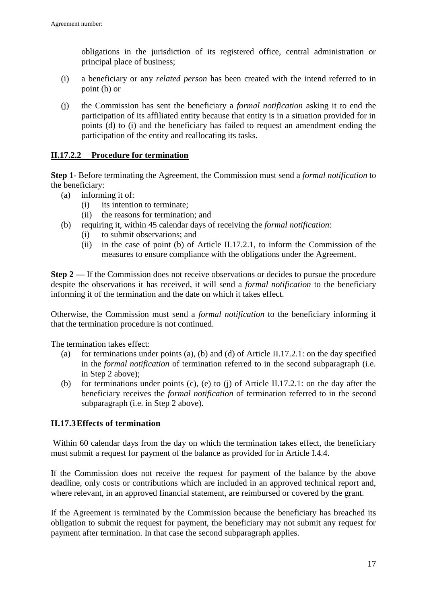obligations in the jurisdiction of its registered office, central administration or principal place of business;

- (i) a beneficiary or any *related person* has been created with the intend referred to in point (h) or
- (j) the Commission has sent the beneficiary a *formal notification* asking it to end the participation of its affiliated entity because that entity is in a situation provided for in points (d) to (i) and the beneficiary has failed to request an amendment ending the participation of the entity and reallocating its tasks.

### **II.17.2.2 Procedure for termination**

**Step 1-** Before terminating the Agreement, the Commission must send a *formal notification* to the beneficiary:

- (a) informing it of:
	- (i) its intention to terminate;
	- (ii) the reasons for termination; and
- (b) requiring it, within 45 calendar days of receiving the *formal notification*:
	- (i) to submit observations; and
	- (ii) in the case of point (b) of Article II.17.2.1, to inform the Commission of the measures to ensure compliance with the obligations under the Agreement.

**Step 2** — If the Commission does not receive observations or decides to pursue the procedure despite the observations it has received, it will send a *formal notification* to the beneficiary informing it of the termination and the date on which it takes effect.

Otherwise, the Commission must send a *formal notification* to the beneficiary informing it that the termination procedure is not continued.

The termination takes effect:

- (a) for terminations under points (a), (b) and (d) of Article II.17.2.1: on the day specified in the *formal notification* of termination referred to in the second subparagraph (i.e. in Step 2 above);
- (b) for terminations under points (c), (e) to (j) of Article II.17.2.1: on the day after the beneficiary receives the *formal notification* of termination referred to in the second subparagraph (i.e. in Step 2 above).

#### <span id="page-16-0"></span>**II.17.3Effects of termination**

Within 60 calendar days from the day on which the termination takes effect, the beneficiary must submit a request for payment of the balance as provided for in Article I.4.4.

If the Commission does not receive the request for payment of the balance by the above deadline, only costs or contributions which are included in an approved technical report and, where relevant, in an approved financial statement, are reimbursed or covered by the grant.

If the Agreement is terminated by the Commission because the beneficiary has breached its obligation to submit the request for payment, the beneficiary may not submit any request for payment after termination. In that case the second subparagraph applies.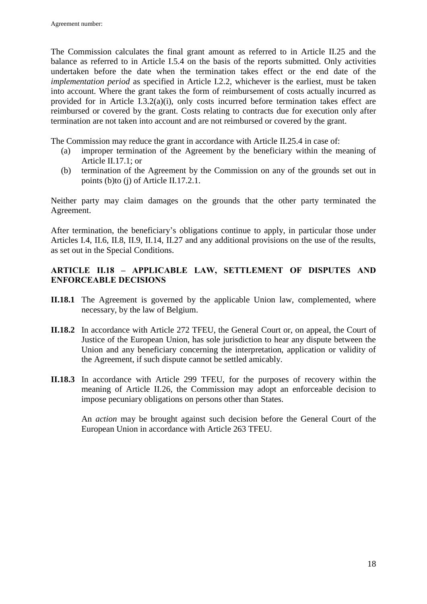The Commission calculates the final grant amount as referred to in Article II.25 and the balance as referred to in Article I.5.4 on the basis of the reports submitted. Only activities undertaken before the date when the termination takes effect or the end date of the *implementation period* as specified in Article I.2.2, whichever is the earliest, must be taken into account. Where the grant takes the form of reimbursement of costs actually incurred as provided for in Article I.3.2(a)(i), only costs incurred before termination takes effect are reimbursed or covered by the grant. Costs relating to contracts due for execution only after termination are not taken into account and are not reimbursed or covered by the grant.

The Commission may reduce the grant in accordance with Article II.25.4 in case of:

- (a) improper termination of the Agreement by the beneficiary within the meaning of Article II.17.1; or
- (b) termination of the Agreement by the Commission on any of the grounds set out in points (b)to (j) of Article II.17.2.1.

Neither party may claim damages on the grounds that the other party terminated the Agreement.

After termination, the beneficiary's obligations continue to apply, in particular those under Articles I.4, II.6, II.8, II.9, II.14, II.27 and any additional provisions on the use of the results, as set out in the Special Conditions.

## <span id="page-17-0"></span>**ARTICLE II.18 – APPLICABLE LAW, SETTLEMENT OF DISPUTES AND ENFORCEABLE DECISIONS**

- **II.18.1** The Agreement is governed by the applicable Union law, complemented, where necessary, by the law of Belgium.
- **II.18.2** In accordance with Article 272 TFEU, the General Court or, on appeal, the Court of Justice of the European Union, has sole jurisdiction to hear any dispute between the Union and any beneficiary concerning the interpretation, application or validity of the Agreement, if such dispute cannot be settled amicably.
- **II.18.3** In accordance with Article 299 TFEU, for the purposes of recovery within the meaning of Article II.26, the Commission may adopt an enforceable decision to impose pecuniary obligations on persons other than States.

An *action* may be brought against such decision before the General Court of the European Union in accordance with Article 263 TFEU.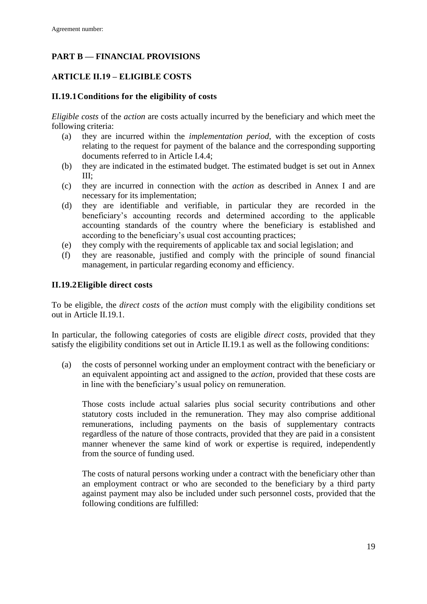# <span id="page-18-0"></span>**PART B — FINANCIAL PROVISIONS**

# <span id="page-18-1"></span>**ARTICLE II.19 – ELIGIBLE COSTS**

## <span id="page-18-2"></span>**II.19.1Conditions for the eligibility of costs**

*Eligible costs* of the *action* are costs actually incurred by the beneficiary and which meet the following criteria:

- (a) they are incurred within the *implementation period*, with the exception of costs relating to the request for payment of the balance and the corresponding supporting documents referred to in Article I.4.4;
- (b) they are indicated in the estimated budget. The estimated budget is set out in Annex III;
- (c) they are incurred in connection with the *action* as described in Annex I and are necessary for its implementation;
- (d) they are identifiable and verifiable, in particular they are recorded in the beneficiary's accounting records and determined according to the applicable accounting standards of the country where the beneficiary is established and according to the beneficiary's usual cost accounting practices;
- (e) they comply with the requirements of applicable tax and social legislation; and
- (f) they are reasonable, justified and comply with the principle of sound financial management, in particular regarding economy and efficiency.

## <span id="page-18-3"></span>**II.19.2Eligible direct costs**

To be eligible, the *direct costs* of the *action* must comply with the eligibility conditions set out in Article II.19.1.

In particular, the following categories of costs are eligible *direct costs*, provided that they satisfy the eligibility conditions set out in Article II.19.1 as well as the following conditions:

(a) the costs of personnel working under an employment contract with the beneficiary or an equivalent appointing act and assigned to the *action*, provided that these costs are in line with the beneficiary's usual policy on remuneration.

Those costs include actual salaries plus social security contributions and other statutory costs included in the remuneration. They may also comprise additional remunerations, including payments on the basis of supplementary contracts regardless of the nature of those contracts, provided that they are paid in a consistent manner whenever the same kind of work or expertise is required, independently from the source of funding used.

The costs of natural persons working under a contract with the beneficiary other than an employment contract or who are seconded to the beneficiary by a third party against payment may also be included under such personnel costs, provided that the following conditions are fulfilled: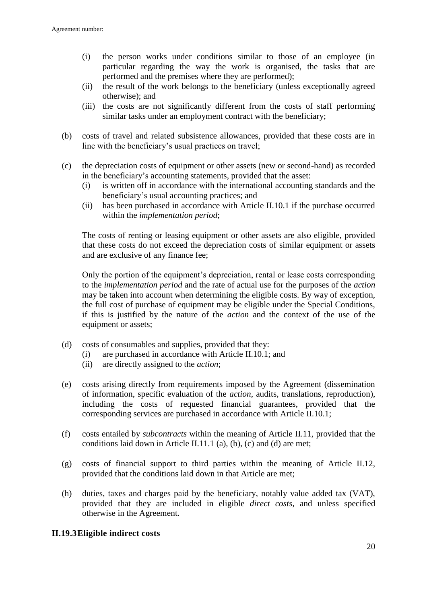- (i) the person works under conditions similar to those of an employee (in particular regarding the way the work is organised, the tasks that are performed and the premises where they are performed);
- (ii) the result of the work belongs to the beneficiary (unless exceptionally agreed otherwise); and
- (iii) the costs are not significantly different from the costs of staff performing similar tasks under an employment contract with the beneficiary;
- (b) costs of travel and related subsistence allowances, provided that these costs are in line with the beneficiary's usual practices on travel;
- (c) the depreciation costs of equipment or other assets (new or second-hand) as recorded in the beneficiary's accounting statements, provided that the asset:
	- (i) is written off in accordance with the international accounting standards and the beneficiary's usual accounting practices; and
	- (ii) has been purchased in accordance with Article II.10.1 if the purchase occurred within the *implementation period*;

The costs of renting or leasing equipment or other assets are also eligible, provided that these costs do not exceed the depreciation costs of similar equipment or assets and are exclusive of any finance fee;

Only the portion of the equipment's depreciation, rental or lease costs corresponding to the *implementation period* and the rate of actual use for the purposes of the *action* may be taken into account when determining the eligible costs. By way of exception, the full cost of purchase of equipment may be eligible under the Special Conditions, if this is justified by the nature of the *action* and the context of the use of the equipment or assets;

- (d) costs of consumables and supplies, provided that they:
	- (i) are purchased in accordance with Article II.10.1; and
	- (ii) are directly assigned to the *action*;
- (e) costs arising directly from requirements imposed by the Agreement (dissemination of information, specific evaluation of the *action*, audits, translations, reproduction), including the costs of requested financial guarantees, provided that the corresponding services are purchased in accordance with Article II.10.1;
- (f) costs entailed by *subcontracts* within the meaning of Article II.11, provided that the conditions laid down in Article II.11.1 (a), (b), (c) and (d) are met;
- (g) costs of financial support to third parties within the meaning of Article II.12, provided that the conditions laid down in that Article are met;
- (h) duties, taxes and charges paid by the beneficiary, notably value added tax (VAT), provided that they are included in eligible *direct costs*, and unless specified otherwise in the Agreement.

#### <span id="page-19-0"></span>**II.19.3Eligible indirect costs**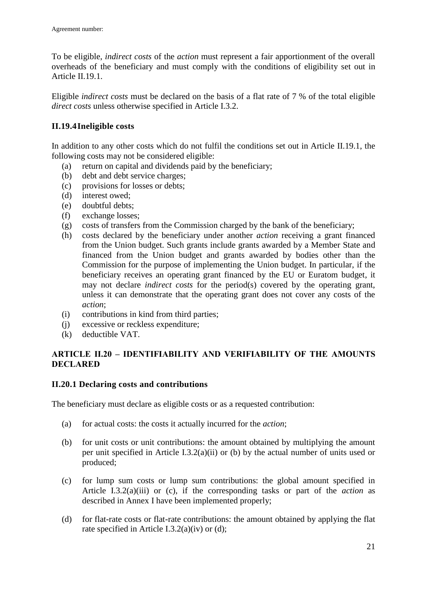To be eligible, *indirect costs* of the *action* must represent a fair apportionment of the overall overheads of the beneficiary and must comply with the conditions of eligibility set out in Article II.19.1

Eligible *indirect costs* must be declared on the basis of a flat rate of 7 % of the total eligible *direct costs* unless otherwise specified in Article I.3.2.

## <span id="page-20-0"></span>**II.19.4Ineligible costs**

In addition to any other costs which do not fulfil the conditions set out in Article II.19.1, the following costs may not be considered eligible:

- (a) return on capital and dividends paid by the beneficiary;
- (b) debt and debt service charges;
- (c) provisions for losses or debts;
- (d) interest owed;
- (e) doubtful debts;
- (f) exchange losses;
- (g) costs of transfers from the Commission charged by the bank of the beneficiary;
- (h) costs declared by the beneficiary under another *action* receiving a grant financed from the Union budget. Such grants include grants awarded by a Member State and financed from the Union budget and grants awarded by bodies other than the Commission for the purpose of implementing the Union budget. In particular, if the beneficiary receives an operating grant financed by the EU or Euratom budget, it may not declare *indirect costs* for the period(s) covered by the operating grant, unless it can demonstrate that the operating grant does not cover any costs of the *action*;
- (i) contributions in kind from third parties;
- (j) excessive or reckless expenditure;
- (k) deductible VAT.

## <span id="page-20-1"></span>**ARTICLE II.20 – IDENTIFIABILITY AND VERIFIABILITY OF THE AMOUNTS DECLARED**

## <span id="page-20-2"></span>**II.20.1 Declaring costs and contributions**

The beneficiary must declare as eligible costs or as a requested contribution:

- (a) for actual costs: the costs it actually incurred for the *action*;
- (b) for unit costs or unit contributions: the amount obtained by multiplying the amount per unit specified in Article I.3.2(a)(ii) or (b) by the actual number of units used or produced;
- (c) for lump sum costs or lump sum contributions: the global amount specified in Article I.3.2(a)(iii) or (c), if the corresponding tasks or part of the *action* as described in Annex I have been implemented properly;
- (d) for flat-rate costs or flat-rate contributions: the amount obtained by applying the flat rate specified in Article I.3.2(a)(iv) or (d);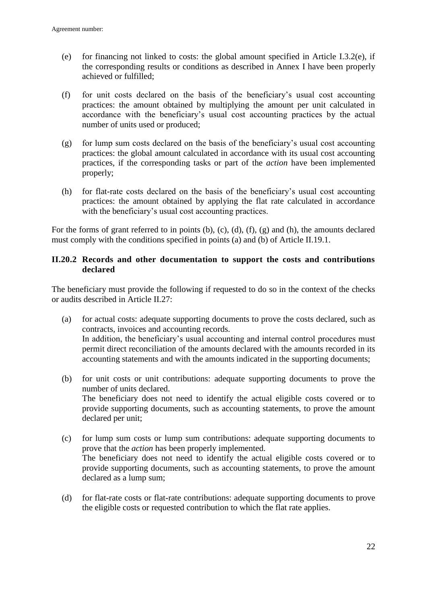- (e) for financing not linked to costs: the global amount specified in Article I.3.2(e), if the corresponding results or conditions as described in Annex I have been properly achieved or fulfilled;
- (f) for unit costs declared on the basis of the beneficiary's usual cost accounting practices: the amount obtained by multiplying the amount per unit calculated in accordance with the beneficiary's usual cost accounting practices by the actual number of units used or produced;
- (g) for lump sum costs declared on the basis of the beneficiary's usual cost accounting practices: the global amount calculated in accordance with its usual cost accounting practices, if the corresponding tasks or part of the *action* have been implemented properly;
- (h) for flat-rate costs declared on the basis of the beneficiary's usual cost accounting practices: the amount obtained by applying the flat rate calculated in accordance with the beneficiary's usual cost accounting practices.

For the forms of grant referred to in points (b), (c), (d), (f), (g) and (h), the amounts declared must comply with the conditions specified in points (a) and (b) of Article II.19.1.

## <span id="page-21-0"></span>**II.20.2 Records and other documentation to support the costs and contributions declared**

The beneficiary must provide the following if requested to do so in the context of the checks or audits described in Article II.27:

- (a) for actual costs: adequate supporting documents to prove the costs declared, such as contracts, invoices and accounting records. In addition, the beneficiary's usual accounting and internal control procedures must permit direct reconciliation of the amounts declared with the amounts recorded in its accounting statements and with the amounts indicated in the supporting documents;
- (b) for unit costs or unit contributions: adequate supporting documents to prove the number of units declared. The beneficiary does not need to identify the actual eligible costs covered or to provide supporting documents, such as accounting statements, to prove the amount declared per unit;
- (c) for lump sum costs or lump sum contributions: adequate supporting documents to prove that the *action* has been properly implemented. The beneficiary does not need to identify the actual eligible costs covered or to provide supporting documents, such as accounting statements, to prove the amount declared as a lump sum;
- (d) for flat-rate costs or flat-rate contributions: adequate supporting documents to prove the eligible costs or requested contribution to which the flat rate applies.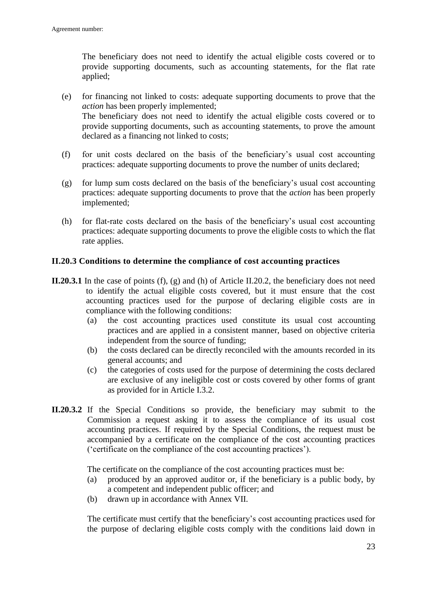The beneficiary does not need to identify the actual eligible costs covered or to provide supporting documents, such as accounting statements, for the flat rate applied;

- (e) for financing not linked to costs: adequate supporting documents to prove that the *action* has been properly implemented; The beneficiary does not need to identify the actual eligible costs covered or to provide supporting documents, such as accounting statements, to prove the amount declared as a financing not linked to costs;
- (f) for unit costs declared on the basis of the beneficiary's usual cost accounting practices: adequate supporting documents to prove the number of units declared;
- (g) for lump sum costs declared on the basis of the beneficiary's usual cost accounting practices: adequate supporting documents to prove that the *action* has been properly implemented;
- (h) for flat-rate costs declared on the basis of the beneficiary's usual cost accounting practices: adequate supporting documents to prove the eligible costs to which the flat rate applies.

### <span id="page-22-0"></span>**II.20.3 Conditions to determine the compliance of cost accounting practices**

- **II.20.3.1** In the case of points (f), (g) and (h) of Article II.20.2, the beneficiary does not need to identify the actual eligible costs covered, but it must ensure that the cost accounting practices used for the purpose of declaring eligible costs are in compliance with the following conditions:
	- (a) the cost accounting practices used constitute its usual cost accounting practices and are applied in a consistent manner, based on objective criteria independent from the source of funding;
	- (b) the costs declared can be directly reconciled with the amounts recorded in its general accounts; and
	- (c) the categories of costs used for the purpose of determining the costs declared are exclusive of any ineligible cost or costs covered by other forms of grant as provided for in Article I.3.2.
- **II.20.3.2** If the Special Conditions so provide, the beneficiary may submit to the Commission a request asking it to assess the compliance of its usual cost accounting practices. If required by the Special Conditions, the request must be accompanied by a certificate on the compliance of the cost accounting practices ('certificate on the compliance of the cost accounting practices').

The certificate on the compliance of the cost accounting practices must be:

- (a) produced by an approved auditor or, if the beneficiary is a public body, by a competent and independent public officer; and
- (b) drawn up in accordance with Annex VII.

The certificate must certify that the beneficiary's cost accounting practices used for the purpose of declaring eligible costs comply with the conditions laid down in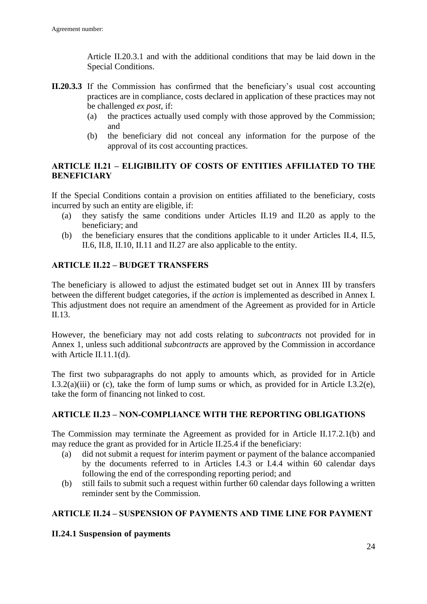Article II.20.3.1 and with the additional conditions that may be laid down in the Special Conditions.

- **II.20.3.3** If the Commission has confirmed that the beneficiary's usual cost accounting practices are in compliance, costs declared in application of these practices may not be challenged *ex post*, if:
	- (a) the practices actually used comply with those approved by the Commission; and
	- (b) the beneficiary did not conceal any information for the purpose of the approval of its cost accounting practices.

### <span id="page-23-0"></span>**ARTICLE II.21 – ELIGIBILITY OF COSTS OF ENTITIES AFFILIATED TO THE BENEFICIARY**

If the Special Conditions contain a provision on entities affiliated to the beneficiary, costs incurred by such an entity are eligible, if:

- (a) they satisfy the same conditions under Articles II.19 and II.20 as apply to the beneficiary; and
- (b) the beneficiary ensures that the conditions applicable to it under Articles II.4, II.5, II.6, II.8, II.10, II.11 and II.27 are also applicable to the entity.

## <span id="page-23-1"></span>**ARTICLE II.22 – BUDGET TRANSFERS**

The beneficiary is allowed to adjust the estimated budget set out in Annex III by transfers between the different budget categories, if the *action* is implemented as described in Annex I. This adjustment does not require an amendment of the Agreement as provided for in Article II.13.

However, the beneficiary may not add costs relating to *subcontracts* not provided for in Annex 1, unless such additional *subcontracts* are approved by the Commission in accordance with Article II.11.1(d).

The first two subparagraphs do not apply to amounts which, as provided for in Article I.3.2(a)(iii) or (c), take the form of lump sums or which, as provided for in Article I.3.2(e), take the form of financing not linked to cost.

#### <span id="page-23-2"></span>**ARTICLE II.23 – NON-COMPLIANCE WITH THE REPORTING OBLIGATIONS**

The Commission may terminate the Agreement as provided for in Article II.17.2.1(b) and may reduce the grant as provided for in Article II.25.4 if the beneficiary:

- (a) did not submit a request for interim payment or payment of the balance accompanied by the documents referred to in Articles I.4.3 or I.4.4 within 60 calendar days following the end of the corresponding reporting period; and
- (b) still fails to submit such a request within further 60 calendar days following a written reminder sent by the Commission.

## <span id="page-23-3"></span>**ARTICLE II.24 – SUSPENSION OF PAYMENTS AND TIME LINE FOR PAYMENT**

#### <span id="page-23-4"></span>**II.24.1 Suspension of payments**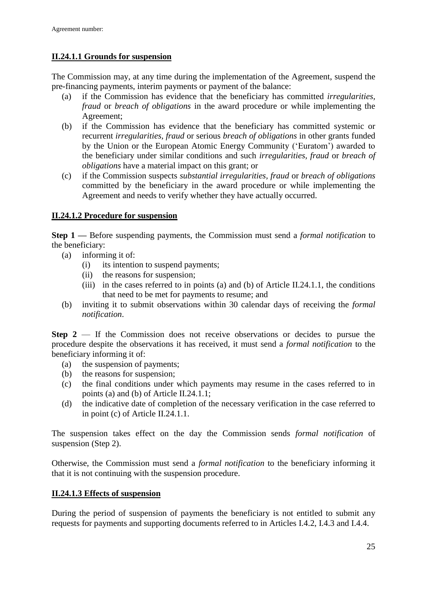## **II.24.1.1 Grounds for suspension**

The Commission may, at any time during the implementation of the Agreement, suspend the pre-financing payments, interim payments or payment of the balance:

- (a) if the Commission has evidence that the beneficiary has committed *irregularities, fraud* or *breach of obligations* in the award procedure or while implementing the Agreement;
- (b) if the Commission has evidence that the beneficiary has committed systemic or recurrent *irregularities, fraud* or serious *breach of obligations* in other grants funded by the Union or the European Atomic Energy Community ('Euratom') awarded to the beneficiary under similar conditions and such *irregularities, fraud* or *breach of obligations* have a material impact on this grant; or
- (c) if the Commission suspects *substantial irregularities, fraud* or *breach of obligations* committed by the beneficiary in the award procedure or while implementing the Agreement and needs to verify whether they have actually occurred.

## **II.24.1.2 Procedure for suspension**

**Step 1 —** Before suspending payments, the Commission must send a *formal notification* to the beneficiary:

- (a) informing it of:
	- (i) its intention to suspend payments;
	- (ii) the reasons for suspension;
	- (iii) in the cases referred to in points (a) and (b) of Article II.24.1.1, the conditions that need to be met for payments to resume; and
- (b) inviting it to submit observations within 30 calendar days of receiving the *formal notification*.

**Step 2** — If the Commission does not receive observations or decides to pursue the procedure despite the observations it has received, it must send a *formal notification* to the beneficiary informing it of:

- (a) the suspension of payments;
- (b) the reasons for suspension;
- (c) the final conditions under which payments may resume in the cases referred to in points (a) and (b) of Article II.24.1.1;
- (d) the indicative date of completion of the necessary verification in the case referred to in point (c) of Article II.24.1.1.

The suspension takes effect on the day the Commission sends *formal notification* of suspension (Step 2).

Otherwise, the Commission must send a *formal notification* to the beneficiary informing it that it is not continuing with the suspension procedure.

## **II.24.1.3 Effects of suspension**

During the period of suspension of payments the beneficiary is not entitled to submit any requests for payments and supporting documents referred to in Articles I.4.2, I.4.3 and I.4.4.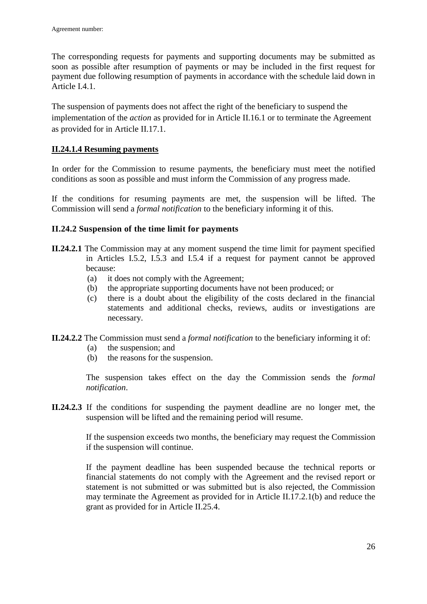The corresponding requests for payments and supporting documents may be submitted as soon as possible after resumption of payments or may be included in the first request for payment due following resumption of payments in accordance with the schedule laid down in Article I.4.1.

The suspension of payments does not affect the right of the beneficiary to suspend the implementation of the *action* as provided for in Article II.16.1 or to terminate the Agreement as provided for in Article II.17.1.

## **II.24.1.4 Resuming payments**

In order for the Commission to resume payments, the beneficiary must meet the notified conditions as soon as possible and must inform the Commission of any progress made.

If the conditions for resuming payments are met, the suspension will be lifted. The Commission will send a *formal notification* to the beneficiary informing it of this.

### <span id="page-25-0"></span>**II.24.2 Suspension of the time limit for payments**

- **II.24.2.1** The Commission may at any moment suspend the time limit for payment specified in Articles I.5.2, I.5.3 and I.5.4 if a request for payment cannot be approved because:
	- (a) it does not comply with the Agreement;
	- (b) the appropriate supporting documents have not been produced; or
	- (c) there is a doubt about the eligibility of the costs declared in the financial statements and additional checks, reviews, audits or investigations are necessary.
- **II.24.2.2** The Commission must send a *formal notification* to the beneficiary informing it of:
	- (a) the suspension; and
	- (b) the reasons for the suspension.

The suspension takes effect on the day the Commission sends the *formal notification*.

**II.24.2.3** If the conditions for suspending the payment deadline are no longer met, the suspension will be lifted and the remaining period will resume.

> If the suspension exceeds two months, the beneficiary may request the Commission if the suspension will continue.

> If the payment deadline has been suspended because the technical reports or financial statements do not comply with the Agreement and the revised report or statement is not submitted or was submitted but is also rejected, the Commission may terminate the Agreement as provided for in Article II.17.2.1(b) and reduce the grant as provided for in Article II.25.4.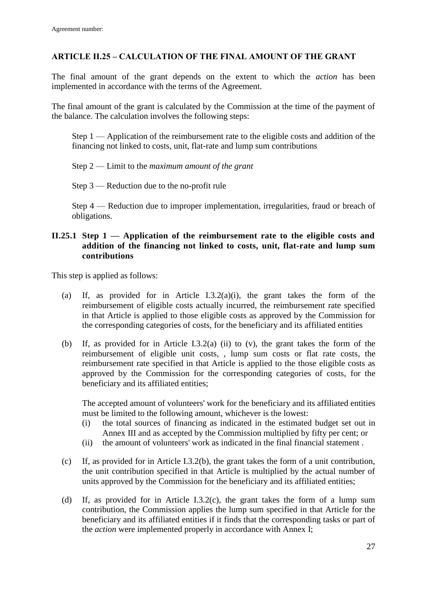### <span id="page-26-0"></span>**ARTICLE II.25 – CALCULATION OF THE FINAL AMOUNT OF THE GRANT**

The final amount of the grant depends on the extent to which the *action* has been implemented in accordance with the terms of the Agreement.

The final amount of the grant is calculated by the Commission at the time of the payment of the balance. The calculation involves the following steps:

Step 1 — Application of the reimbursement rate to the eligible costs and addition of the financing not linked to costs, unit, flat-rate and lump sum contributions

#### Step 2 — Limit to the *maximum amount of the grant*

Step 3 — Reduction due to the no-profit rule

Step 4 — Reduction due to improper implementation, irregularities, fraud or breach of obligations.

#### <span id="page-26-1"></span>**II.25.1 Step 1 — Application of the reimbursement rate to the eligible costs and addition of the financing not linked to costs, unit, flat-rate and lump sum contributions**

This step is applied as follows:

- (a) If, as provided for in Article I.3.2(a)(i), the grant takes the form of the reimbursement of eligible costs actually incurred, the reimbursement rate specified in that Article is applied to those eligible costs as approved by the Commission for the corresponding categories of costs, for the beneficiary and its affiliated entities
- (b) If, as provided for in Article I.3.2(a) (ii) to (v), the grant takes the form of the reimbursement of eligible unit costs, , lump sum costs or flat rate costs, the reimbursement rate specified in that Article is applied to the those eligible costs as approved by the Commission for the corresponding categories of costs, for the beneficiary and its affiliated entities;

The accepted amount of volunteers' work for the beneficiary and its affiliated entities must be limited to the following amount, whichever is the lowest:

- (i) the total sources of financing as indicated in the estimated budget set out in Annex III and as accepted by the Commission multiplied by fifty per cent; or
- (ii) the amount of volunteers' work as indicated in the final financial statement .
- (c) If, as provided for in Article I.3.2(b), the grant takes the form of a unit contribution, the unit contribution specified in that Article is multiplied by the actual number of units approved by the Commission for the beneficiary and its affiliated entities;
- (d) If, as provided for in Article I.3.2(c), the grant takes the form of a lump sum contribution, the Commission applies the lump sum specified in that Article for the beneficiary and its affiliated entities if it finds that the corresponding tasks or part of the *action* were implemented properly in accordance with Annex I;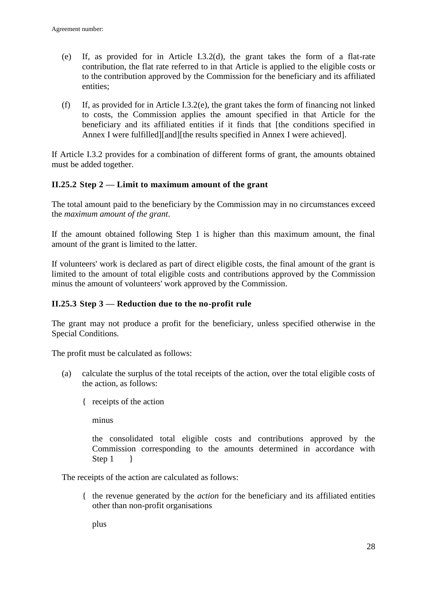- (e) If, as provided for in Article I.3.2(d), the grant takes the form of a flat-rate contribution, the flat rate referred to in that Article is applied to the eligible costs or to the contribution approved by the Commission for the beneficiary and its affiliated entities;
- (f) If, as provided for in Article I.3.2(e), the grant takes the form of financing not linked to costs, the Commission applies the amount specified in that Article for the beneficiary and its affiliated entities if it finds that [the conditions specified in Annex I were fulfilled][and][the results specified in Annex I were achieved].

If Article I.3.2 provides for a combination of different forms of grant, the amounts obtained must be added together.

## <span id="page-27-0"></span>**II.25.2 Step 2 — Limit to maximum amount of the grant**

The total amount paid to the beneficiary by the Commission may in no circumstances exceed the *maximum amount of the grant*.

If the amount obtained following Step 1 is higher than this maximum amount, the final amount of the grant is limited to the latter.

If volunteers' work is declared as part of direct eligible costs, the final amount of the grant is limited to the amount of total eligible costs and contributions approved by the Commission minus the amount of volunteers' work approved by the Commission.

### <span id="page-27-1"></span>**II.25.3 Step 3 — Reduction due to the no-profit rule**

The grant may not produce a profit for the beneficiary, unless specified otherwise in the Special Conditions.

The profit must be calculated as follows:

- (a) calculate the surplus of the total receipts of the action, over the total eligible costs of the action, as follows:
	- { receipts of the action

minus

the consolidated total eligible costs and contributions approved by the Commission corresponding to the amounts determined in accordance with Step  $1 \}$ 

The receipts of the action are calculated as follows:

{ the revenue generated by the *action* for the beneficiary and its affiliated entities other than non-profit organisations

plus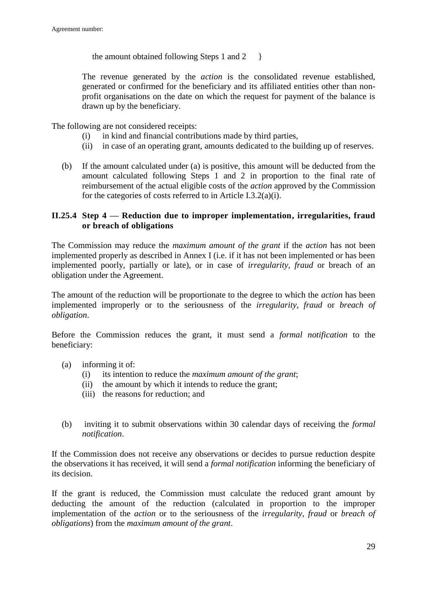the amount obtained following Steps 1 and  $2 \quad \}$ 

The revenue generated by the *action* is the consolidated revenue established, generated or confirmed for the beneficiary and its affiliated entities other than nonprofit organisations on the date on which the request for payment of the balance is drawn up by the beneficiary.

The following are not considered receipts:

- (i) in kind and financial contributions made by third parties,
- (ii) in case of an operating grant, amounts dedicated to the building up of reserves.
- (b) If the amount calculated under (a) is positive, this amount will be deducted from the amount calculated following Steps 1 and 2 in proportion to the final rate of reimbursement of the actual eligible costs of the *action* approved by the Commission for the categories of costs referred to in Article I.3.2(a)(i).

## <span id="page-28-0"></span>**II.25.4 Step 4 — Reduction due to improper implementation, irregularities, fraud or breach of obligations**

The Commission may reduce the *maximum amount of the grant* if the *action* has not been implemented properly as described in Annex I (i.e. if it has not been implemented or has been implemented poorly, partially or late), or in case of *irregularity, fraud* or breach of an obligation under the Agreement.

The amount of the reduction will be proportionate to the degree to which the *action* has been implemented improperly or to the seriousness of the *irregularity, fraud* or *breach of obligation*.

Before the Commission reduces the grant, it must send a *formal notification* to the beneficiary:

- (a) informing it of:
	- (i) its intention to reduce the *maximum amount of the grant*;
	- (ii) the amount by which it intends to reduce the grant;
	- (iii) the reasons for reduction; and
- (b) inviting it to submit observations within 30 calendar days of receiving the *formal notification*.

If the Commission does not receive any observations or decides to pursue reduction despite the observations it has received, it will send a *formal notification* informing the beneficiary of its decision.

If the grant is reduced, the Commission must calculate the reduced grant amount by deducting the amount of the reduction (calculated in proportion to the improper implementation of the *action* or to the seriousness of the *irregularity*, *fraud* or *breach of obligations*) from the *maximum amount of the grant*.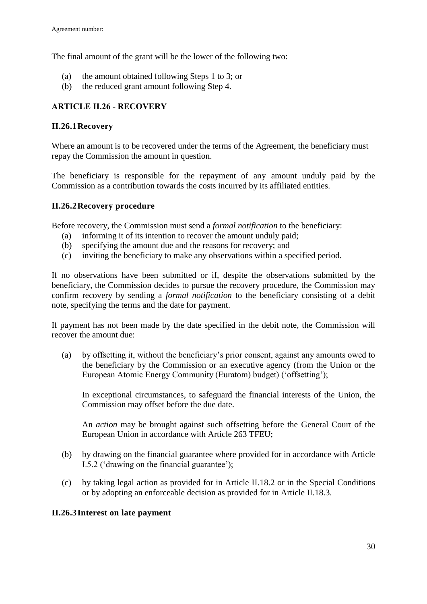The final amount of the grant will be the lower of the following two:

- (a) the amount obtained following Steps 1 to 3; or
- (b) the reduced grant amount following Step 4.

## <span id="page-29-0"></span>**ARTICLE II.26 - RECOVERY**

### <span id="page-29-1"></span>**II.26.1Recovery**

Where an amount is to be recovered under the terms of the Agreement, the beneficiary must repay the Commission the amount in question.

The beneficiary is responsible for the repayment of any amount unduly paid by the Commission as a contribution towards the costs incurred by its affiliated entities.

### <span id="page-29-2"></span>**II.26.2Recovery procedure**

Before recovery, the Commission must send a *formal notification* to the beneficiary:

- (a) informing it of its intention to recover the amount unduly paid;
- (b) specifying the amount due and the reasons for recovery; and
- (c) inviting the beneficiary to make any observations within a specified period.

If no observations have been submitted or if, despite the observations submitted by the beneficiary, the Commission decides to pursue the recovery procedure, the Commission may confirm recovery by sending a *formal notification* to the beneficiary consisting of a debit note, specifying the terms and the date for payment.

If payment has not been made by the date specified in the debit note, the Commission will recover the amount due:

(a) by offsetting it, without the beneficiary's prior consent, against any amounts owed to the beneficiary by the Commission or an executive agency (from the Union or the European Atomic Energy Community (Euratom) budget) ('offsetting');

In exceptional circumstances, to safeguard the financial interests of the Union, the Commission may offset before the due date.

An *action* may be brought against such offsetting before the General Court of the European Union in accordance with Article 263 TFEU;

- (b) by drawing on the financial guarantee where provided for in accordance with Article I.5.2 ('drawing on the financial guarantee');
- (c) by taking legal action as provided for in Article II.18.2 or in the Special Conditions or by adopting an enforceable decision as provided for in Article II.18.3.

## <span id="page-29-3"></span>**II.26.3Interest on late payment**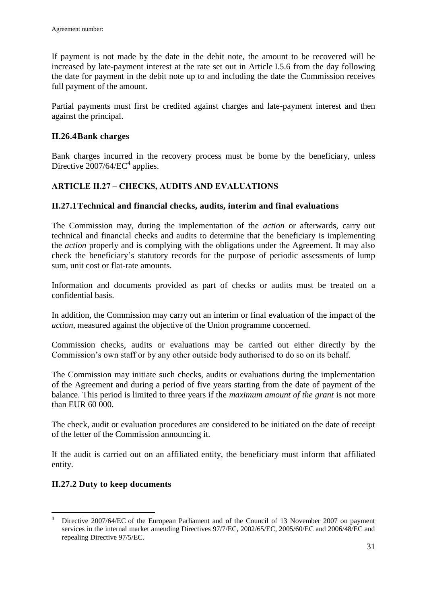If payment is not made by the date in the debit note, the amount to be recovered will be increased by late-payment interest at the rate set out in Article I.5.6 from the day following the date for payment in the debit note up to and including the date the Commission receives full payment of the amount.

Partial payments must first be credited against charges and late-payment interest and then against the principal.

### <span id="page-30-0"></span>**II.26.4Bank charges**

Bank charges incurred in the recovery process must be borne by the beneficiary, unless Directive  $2007/64/EC^4$  applies.

## <span id="page-30-1"></span>**ARTICLE II.27 – CHECKS, AUDITS AND EVALUATIONS**

## <span id="page-30-2"></span>**II.27.1Technical and financial checks, audits, interim and final evaluations**

The Commission may, during the implementation of the *action* or afterwards, carry out technical and financial checks and audits to determine that the beneficiary is implementing the *action* properly and is complying with the obligations under the Agreement. It may also check the beneficiary's statutory records for the purpose of periodic assessments of lump sum, unit cost or flat-rate amounts.

Information and documents provided as part of checks or audits must be treated on a confidential basis.

In addition, the Commission may carry out an interim or final evaluation of the impact of the *action*, measured against the objective of the Union programme concerned.

Commission checks, audits or evaluations may be carried out either directly by the Commission's own staff or by any other outside body authorised to do so on its behalf.

The Commission may initiate such checks, audits or evaluations during the implementation of the Agreement and during a period of five years starting from the date of payment of the balance. This period is limited to three years if the *maximum amount of the grant* is not more than EUR 60 000.

The check, audit or evaluation procedures are considered to be initiated on the date of receipt of the letter of the Commission announcing it.

If the audit is carried out on an affiliated entity, the beneficiary must inform that affiliated entity.

## <span id="page-30-3"></span>**II.27.2 Duty to keep documents**

1

Directive 2007/64/EC of the European Parliament and of the Council of 13 November 2007 on payment services in the internal market amending Directives 97/7/EC, 2002/65/EC, 2005/60/EC and 2006/48/EC and repealing Directive 97/5/EC.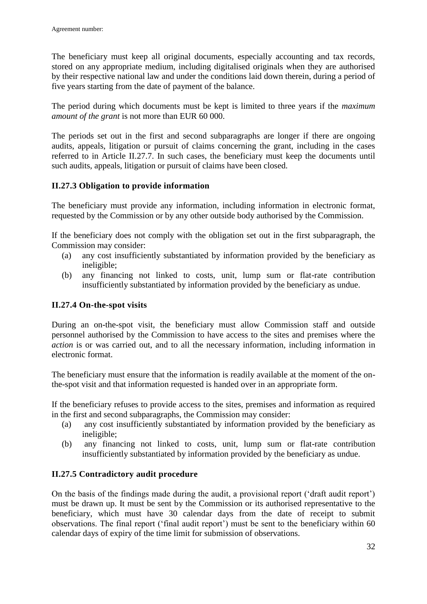The beneficiary must keep all original documents, especially accounting and tax records, stored on any appropriate medium, including digitalised originals when they are authorised by their respective national law and under the conditions laid down therein, during a period of five years starting from the date of payment of the balance.

The period during which documents must be kept is limited to three years if the *maximum amount of the grant* is not more than EUR 60 000.

The periods set out in the first and second subparagraphs are longer if there are ongoing audits, appeals, litigation or pursuit of claims concerning the grant, including in the cases referred to in Article II.27.7. In such cases, the beneficiary must keep the documents until such audits, appeals, litigation or pursuit of claims have been closed.

### <span id="page-31-0"></span>**II.27.3 Obligation to provide information**

The beneficiary must provide any information, including information in electronic format, requested by the Commission or by any other outside body authorised by the Commission.

If the beneficiary does not comply with the obligation set out in the first subparagraph, the Commission may consider:

- (a) any cost insufficiently substantiated by information provided by the beneficiary as ineligible;
- (b) any financing not linked to costs, unit, lump sum or flat-rate contribution insufficiently substantiated by information provided by the beneficiary as undue.

#### <span id="page-31-1"></span>**II.27.4 On-the-spot visits**

During an on-the-spot visit, the beneficiary must allow Commission staff and outside personnel authorised by the Commission to have access to the sites and premises where the *action* is or was carried out, and to all the necessary information, including information in electronic format.

The beneficiary must ensure that the information is readily available at the moment of the onthe-spot visit and that information requested is handed over in an appropriate form.

If the beneficiary refuses to provide access to the sites, premises and information as required in the first and second subparagraphs, the Commission may consider:

- (a) any cost insufficiently substantiated by information provided by the beneficiary as ineligible;
- (b) any financing not linked to costs, unit, lump sum or flat-rate contribution insufficiently substantiated by information provided by the beneficiary as undue.

## <span id="page-31-2"></span>**II.27.5 Contradictory audit procedure**

On the basis of the findings made during the audit, a provisional report ('draft audit report') must be drawn up. It must be sent by the Commission or its authorised representative to the beneficiary, which must have 30 calendar days from the date of receipt to submit observations. The final report ('final audit report') must be sent to the beneficiary within 60 calendar days of expiry of the time limit for submission of observations.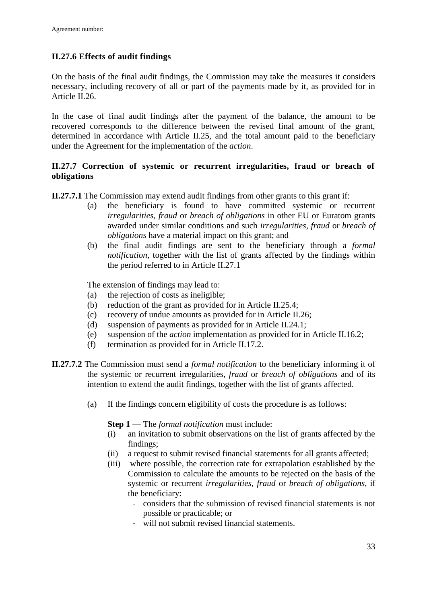## <span id="page-32-0"></span>**II.27.6 Effects of audit findings**

On the basis of the final audit findings, the Commission may take the measures it considers necessary, including recovery of all or part of the payments made by it, as provided for in Article II.26.

In the case of final audit findings after the payment of the balance, the amount to be recovered corresponds to the difference between the revised final amount of the grant, determined in accordance with Article II.25, and the total amount paid to the beneficiary under the Agreement for the implementation of the *action*.

## <span id="page-32-1"></span>**II.27.7 Correction of systemic or recurrent irregularities, fraud or breach of obligations**

**II.27.7.1** The Commission may extend audit findings from other grants to this grant if:

- (a) the beneficiary is found to have committed systemic or recurrent *irregularities, fraud* or *breach of obligations* in other EU or Euratom grants awarded under similar conditions and such *irregularities, fraud* or *breach of obligations* have a material impact on this grant; and
- (b) the final audit findings are sent to the beneficiary through a *formal notification*, together with the list of grants affected by the findings within the period referred to in Article II.27.1

The extension of findings may lead to:

- (a) the rejection of costs as ineligible;
- (b) reduction of the grant as provided for in Article II.25.4;
- (c) recovery of undue amounts as provided for in Article II.26;
- (d) suspension of payments as provided for in Article II.24.1;
- (e) suspension of the *action* implementation as provided for in Article II.16.2;
- (f) termination as provided for in Article II.17.2.
- **II.27.7.2** The Commission must send a *formal notification* to the beneficiary informing it of the systemic or recurrent irregularities, *fraud* or *breach of obligations* and of its intention to extend the audit findings, together with the list of grants affected.
	- (a) If the findings concern eligibility of costs the procedure is as follows:

**Step 1** — The *formal notification* must include:

- (i) an invitation to submit observations on the list of grants affected by the findings;
- (ii) a request to submit revised financial statements for all grants affected;
- (iii) where possible, the correction rate for extrapolation established by the Commission to calculate the amounts to be rejected on the basis of the systemic or recurrent *irregularities, fraud* or *breach of obligations*, if the beneficiary:
	- considers that the submission of revised financial statements is not possible or practicable; or
	- will not submit revised financial statements.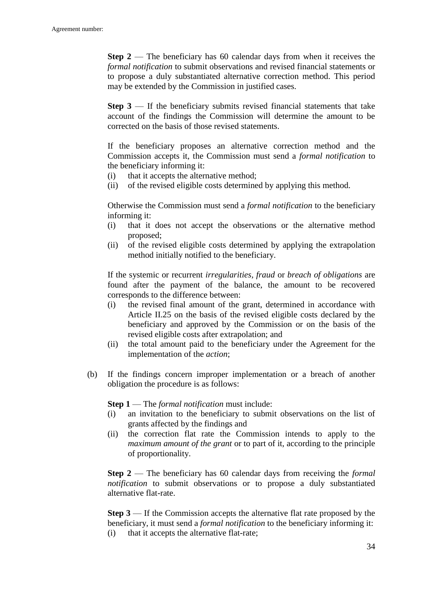**Step 2** — The beneficiary has 60 calendar days from when it receives the *formal notification* to submit observations and revised financial statements or to propose a duly substantiated alternative correction method. This period may be extended by the Commission in justified cases.

**Step 3** — If the beneficiary submits revised financial statements that take account of the findings the Commission will determine the amount to be corrected on the basis of those revised statements.

If the beneficiary proposes an alternative correction method and the Commission accepts it, the Commission must send a *formal notification* to the beneficiary informing it:

- (i) that it accepts the alternative method;
- (ii) of the revised eligible costs determined by applying this method.

Otherwise the Commission must send a *formal notification* to the beneficiary informing it:

- (i) that it does not accept the observations or the alternative method proposed;
- (ii) of the revised eligible costs determined by applying the extrapolation method initially notified to the beneficiary.

If the systemic or recurrent *irregularities, fraud* or *breach of obligations* are found after the payment of the balance, the amount to be recovered corresponds to the difference between:

- (i) the revised final amount of the grant, determined in accordance with Article II.25 on the basis of the revised eligible costs declared by the beneficiary and approved by the Commission or on the basis of the revised eligible costs after extrapolation; and
- (ii) the total amount paid to the beneficiary under the Agreement for the implementation of the *action*;
- (b) If the findings concern improper implementation or a breach of another obligation the procedure is as follows:

**Step 1** — The *formal notification* must include:

- (i) an invitation to the beneficiary to submit observations on the list of grants affected by the findings and
- (ii) the correction flat rate the Commission intends to apply to the *maximum amount of the grant* or to part of it, according to the principle of proportionality.

**Step 2** — The beneficiary has 60 calendar days from receiving the *formal notification* to submit observations or to propose a duly substantiated alternative flat-rate.

**Step 3** — If the Commission accepts the alternative flat rate proposed by the beneficiary, it must send a *formal notification* to the beneficiary informing it: (i) that it accepts the alternative flat-rate;